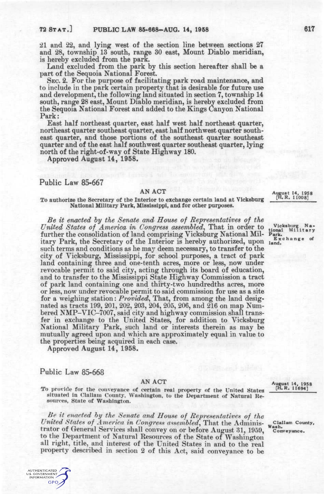21 and 22, and lying west of the section line between sections 27 and 28, township 13 south, range 30 east, Mount Diablo meridian, is hereby excluded from the park.

Land excluded from the park by this section hereafter shall be a part of the Sequoia National Forest.

SEC. 2. For the purpose of facilitating park road maintenance, and to include in the park certain property that is desirable for future use and development, the following land situated in section 7, township 14 south, range 28 east. Mount Diablo meridian, is hereby excluded from the Sequoia National Forest and added to the Kings Canyon National Park:

East half northeast quarter, east half west half northeast quarter, northeast quarter southeast quarter, east half northwest quarter southeast quarter, and those portions of the southeast quarter southeast quarter and of the east half southwest quarter southeast quarter, lying north of the right-of-way of State Highway 180.

Approved August 14, 1958.

## **Public Law 85-667**

### AN ACT

To authorize the Secretary of the Interior to exchange certain land at Vickshurg National Military Park, Mississippi, and for other purposes.

*Be it enacted by the Senate and House of Representatives of the United States of America in Congress assembled,* That in order to further the consolidation of land comprising Vicksburg National Military Park, the Secretary of the Interior is hereby authorized, upon such terms and conditions as he may deem necessary, to transfer to the city of Vicksburg, Mississippi, for school purposes, a tract of park land containing three and one-tenth acres, more or less, now under revocable permit to said city, acting through its board of education, and to transfer to the Mississippi State Highway Commission a tract of park land containing one and thirty-two hundredths acres, more or less, now under revocable permit to said commission for use as a site for a weighing station: *Provided*, That, from among the land designated as tracts 199, 201, 202, 203, 204, 205, 206, and 216 on map Numbered NMP-VIC-7007, said city and highway commission shall transfer in exchange to the United States, for addition to Vicksburg National Military Park, such land or interests therein as may be mutually agreed upon and which are approximately equal in value to the properties being acquired in each case.

Approved August 14, 1958.

# Public Law 85-668

#### AN ACT

To provide for the conveyance of certain real property of the United States situated in Clallam County, Washington, to the Department of Natural Resources, State of Washington.

*Be it enacted hy the Senate and House of Representatives of the United States of America in Congress a^semhled,* That the Administrator of General Services shall convey on or before August 31, 1959, to the Department of Natural Resources of the State of Washington all right, title, and interest of the United States in and to the real property described in section 2 of this Act, said conveyance to be **August 14. 1958 [H.R. 11008]** 

Vicksburg Na-<br>onai Military **tional Militar y Park. Exchang e of land.** 

**August 14, 1958 [H.R. 11694]** 

**Clallam County, Wash. Conveyiance.**